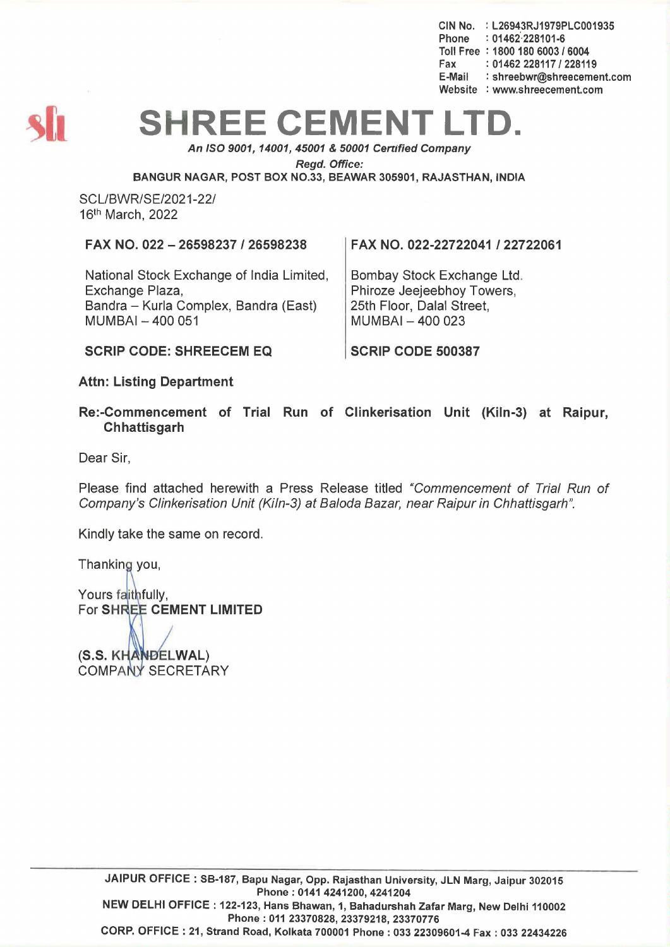CIN No. : L26943RJ1979PLC001935 Phone : 01462-228101-6 Toll Free : 1800 180 6003 1 6004 Fax: 01462 228117 / 228119<br>E-Mail: shreebwr@shreeceme : shreebwr@shreecement.com Website : www.shreecement.com



## **SHREE CEMENT**

An ISO 9001,14001,45001 & 50001 Cenified Company

Regd. Office:

BANGUR NAGAR, POST BOX NO.33, BEAWAR 305901, RAJASTHAN, INDIA

SCL/BWR/SE/2021-22/ 16th March, 2022

FAX NO. 022 - 26598237/26598238

National Stock Exchange of India Limited, Exchange Plaza, Bandra - Kurla Complex, Bandra (East) MUMBAI- 400 051

FAX NO. 022-22722041 122722061

Bombay Stock Exchange Ltd. Phiroze Jeejeebhoy Towers, 25th Floor, Dalal Street,  $MUMBAI - 400023$ 

SCRIP CODE 500387

SCRIP CODE: SHREECEM EQ

Attn: Listing Department

Re:-Commencement of Trial Run of Clinkerisation Unit (Kiln-3) at Raipur, **Chhattisgarh** 

Dear Sir,

Please find attached herewith a Press Release titled "Commencement of Trial Run of Company's Clinkerisation Unit (Kiln-3) at Baloda Bazar, near Raipur in Chhattisgarh".

Kindly take the same on record.

Thanking you,

Yours faithfully, For SHREE CEMENT LIMITED

(S.S. KHANDELWAL) COMPANY SECRETARY